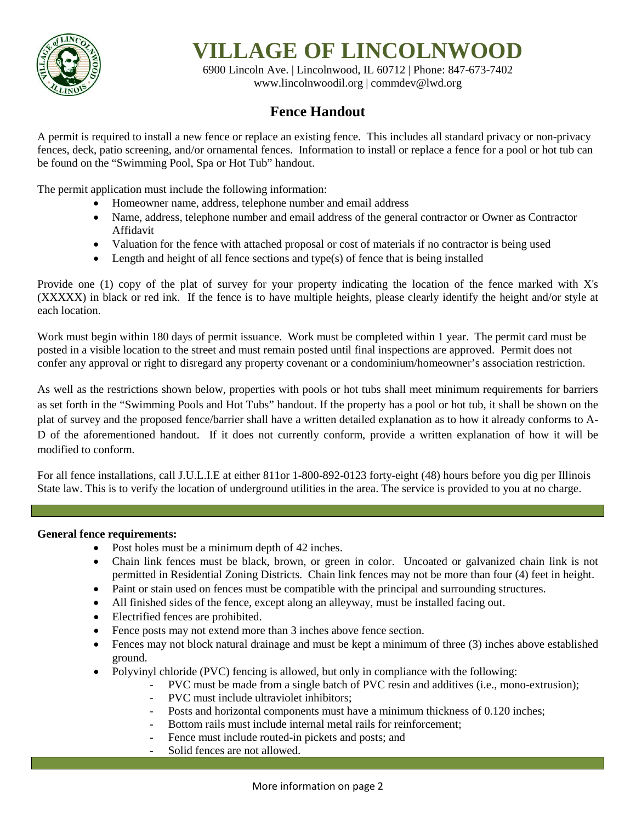

# **VILLAGE OF LINCOLNWOOD**

6900 Lincoln Ave. | Lincolnwood, IL 60712 | Phone: 847-673-7402 [www.lincolnwoodil.org](http://www.lincolnwoodil.org/) | commdev@lwd.org

# **Fence Handout**

A permit is required to install a new fence or replace an existing fence. This includes all standard privacy or non-privacy fences, deck, patio screening, and/or ornamental fences. Information to install or replace a fence for a pool or hot tub can be found on the "Swimming Pool, Spa or Hot Tub" handout.

The permit application must include the following information:

- Homeowner name, address, telephone number and email address
- Name, address, telephone number and email address of the general contractor or Owner as Contractor Affidavit
- Valuation for the fence with attached proposal or cost of materials if no contractor is being used
- Length and height of all fence sections and type(s) of fence that is being installed

Provide one (1) copy of the plat of survey for your property indicating the location of the fence marked with X's (XXXXX) in black or red ink. If the fence is to have multiple heights, please clearly identify the height and/or style at each location.

Work must begin within 180 days of permit issuance. Work must be completed within 1 year. The permit card must be posted in a visible location to the street and must remain posted until final inspections are approved. Permit does not confer any approval or right to disregard any property covenant or a condominium/homeowner's association restriction.

As well as the restrictions shown below, properties with pools or hot tubs shall meet minimum requirements for barriers as set forth in the "Swimming Pools and Hot Tubs" handout. If the property has a pool or hot tub, it shall be shown on the plat of survey and the proposed fence/barrier shall have a written detailed explanation as to how it already conforms to A-D of the aforementioned handout. If it does not currently conform, provide a written explanation of how it will be modified to conform.

For all fence installations, call J.U.L.I.E at either 811or 1-800-892-0123 forty-eight (48) hours before you dig per Illinois State law. This is to verify the location of underground utilities in the area. The service is provided to you at no charge.

## **General fence requirements:**

- Post holes must be a minimum depth of 42 inches.
- Chain link fences must be black, brown, or green in color. Uncoated or galvanized chain link is not permitted in Residential Zoning Districts. Chain link fences may not be more than four (4) feet in height.
- Paint or stain used on fences must be compatible with the principal and surrounding structures.
- All finished sides of the fence, except along an alleyway, must be installed facing out.
- Electrified fences are prohibited.
- Fence posts may not extend more than 3 inches above fence section.
- Fences may not block natural drainage and must be kept a minimum of three (3) inches above established ground.
- Polyvinyl chloride (PVC) fencing is allowed, but only in compliance with the following:
	- PVC must be made from a single batch of PVC resin and additives (i.e., mono-extrusion);
		- PVC must include ultraviolet inhibitors;
		- Posts and horizontal components must have a minimum thickness of 0.120 inches;
		- Bottom rails must include internal metal rails for reinforcement;
		- Fence must include routed-in pickets and posts; and
		- Solid fences are not allowed.